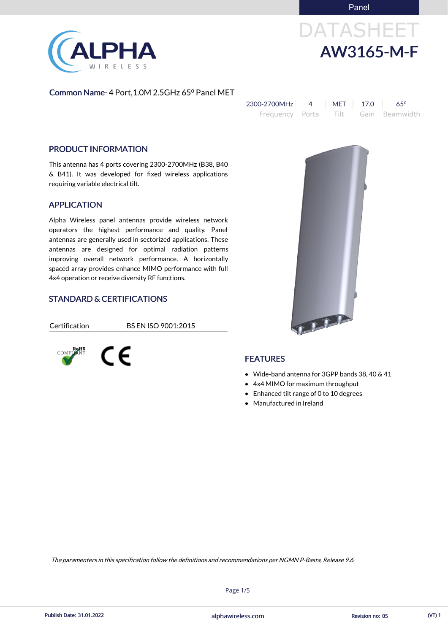# DATASHEET AW3165-M-F



### Common Name- 4 Port, 1.0M 2.5GHz 65<sup>°</sup> Panel MET

| 2300-2700MHz    | MET | 17.0 | $65^{\circ}$        |
|-----------------|-----|------|---------------------|
| Frequency Ports |     |      | Tilt Gain Beamwidth |

#### PRODUCT INFORMATION

This antenna has 4 ports covering 2300-2700MHz (B38, B40 & B41). It was developed for fixed wireless applications requiring variable electrical tilt.

#### APPLICATION

Alpha Wireless panel antennas provide wireless network operators the highest performance and quality. Panel antennas are generally used in sectorized applications. These antennas are designed for optimal radiation patterns improving overall network performance. A horizontally spaced array provides enhance MIMO performance with full 4x4 operation or receive diversity RF functions.

### STANDARD & CERTIFICATIONS

Certification BS EN ISO 9001:2015





- Wide-band antenna for 3GPP bands 38, 40 & 41
- 4x4 MIMO for maximum throughput
- Enhanced tilt range of 0 to 10 degrees
- Manufactured in Ireland



Page 1/5

The paramenters in this specification follow the definitions and recommendations per NGMN P-Basta, Release 9.6.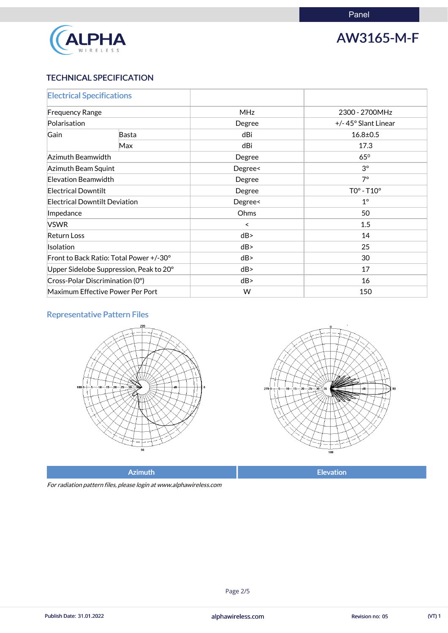

# AW3165-M-F

### TECHNICAL SPECIFICATION

| <b>Electrical Specifications</b>                |       |            |                     |
|-------------------------------------------------|-------|------------|---------------------|
| <b>Frequency Range</b>                          |       | <b>MHz</b> | 2300 - 2700MHz      |
| Polarisation                                    |       | Degree     | +/-45° Slant Linear |
| Gain                                            | Basta | dBi        | $16.8 \pm 0.5$      |
|                                                 | Max   | dBi        | 17.3                |
| Azimuth Beamwidth                               |       | Degree     | $65^\circ$          |
| Azimuth Beam Squint                             |       | Degree<    | $3^\circ$           |
| Elevation Beamwidth                             |       | Degree     | $7^\circ$           |
| <b>Electrical Downtilt</b>                      |       | Degree     | $TOo - T10o$        |
| <b>Electrical Downtilt Deviation</b>            |       | Degree<    | $1^{\circ}$         |
| Impedance                                       |       | Ohms       | 50                  |
| <b>VSWR</b>                                     |       | $\prec$    | 1.5                 |
| <b>Return Loss</b>                              |       | dB         | 14                  |
| Isolation                                       |       | dB         | 25                  |
| Front to Back Ratio: Total Power +/-30°         |       | dB         | 30                  |
| Upper Sidelobe Suppression, Peak to 20°         |       | dB         | 17                  |
| $\vert$ Cross-Polar Discrimination (0 $\vert$ ) |       | dB         | 16                  |
| Maximum Effective Power Per Port                |       | W          | 150                 |

### Representative Pattern Files





For radiation pattern files, please login at www.alphawireless.com

### alphawireless.com

Publish Date: 31.01.2022 **Revision no: 05** CVT) 1

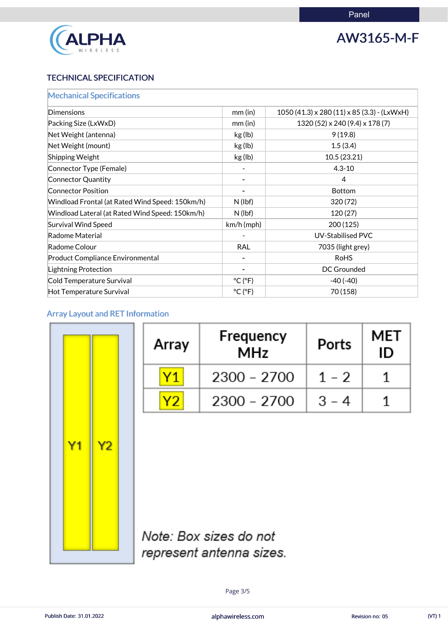

# AW3165-M-F

### TECHNICAL SPECIFICATION

| <b>Mechanical Specifications</b>                |                              |                                                      |
|-------------------------------------------------|------------------------------|------------------------------------------------------|
| Dimensions                                      | $mm$ (in)                    | $1050(41.3) \times 280(11) \times 85(3.3)$ - (LxWxH) |
| Packing Size (LxWxD)                            | $mm$ (in)                    | 1320 (52) x 240 (9.4) x 178 (7)                      |
| Net Weight (antenna)                            | kg (lb)                      | 9(19.8)                                              |
| Net Weight (mount)                              | kg (lb)                      | 1.5(3.4)                                             |
| <b>Shipping Weight</b>                          | kg (lb)                      | 10.5(23.21)                                          |
| Connector Type (Female)                         |                              | $4.3 - 10$                                           |
| Connector Quantity                              |                              | 4                                                    |
| <b>Connector Position</b>                       |                              | <b>Bottom</b>                                        |
| Windload Frontal (at Rated Wind Speed: 150km/h) | $N$ (lbf)                    | 320(72)                                              |
| Windload Lateral (at Rated Wind Speed: 150km/h) | $N$ (lbf)                    | 120(27)                                              |
| <b>Survival Wind Speed</b>                      | $km/h$ (mph)                 | 200 (125)                                            |
| Radome Material                                 |                              | <b>UV-Stabilised PVC</b>                             |
| Radome Colour                                   | <b>RAL</b>                   | 7035 (light grey)                                    |
| <b>Product Compliance Environmental</b>         |                              | <b>RoHS</b>                                          |
| Lightning Protection                            |                              | <b>DC Grounded</b>                                   |
| Cold Temperature Survival                       | $^{\circ}$ C ( $^{\circ}$ F) | $-40(-40)$                                           |
| Hot Temperature Survival                        | $^{\circ}$ C ( $^{\circ}$ F) | 70 (158)                                             |

## Array Layout and RET Information

| Y1 | Y2 |
|----|----|

| Array | Frequency<br><b>MHz</b> | Ports   | MET<br>ID |
|-------|-------------------------|---------|-----------|
|       | $2300 - 2700$           | $1 - 2$ |           |
|       | $2300 - 2700$           | $3 - 4$ |           |



# Note: Box sizes do not represent antenna sizes.

Page 3/5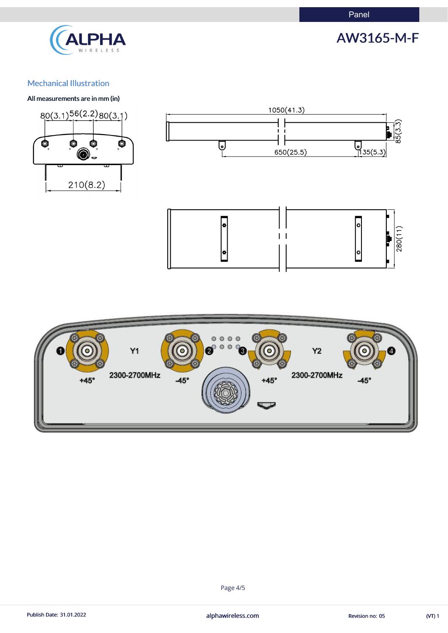

# AW3165-M-F

### Mechanical Illustration

#### All measurements are in mm (in)







(VT) 1



#### Publish Date: 31.01.2022 **alphawireless.com** alphawireless.com Revision no: 05